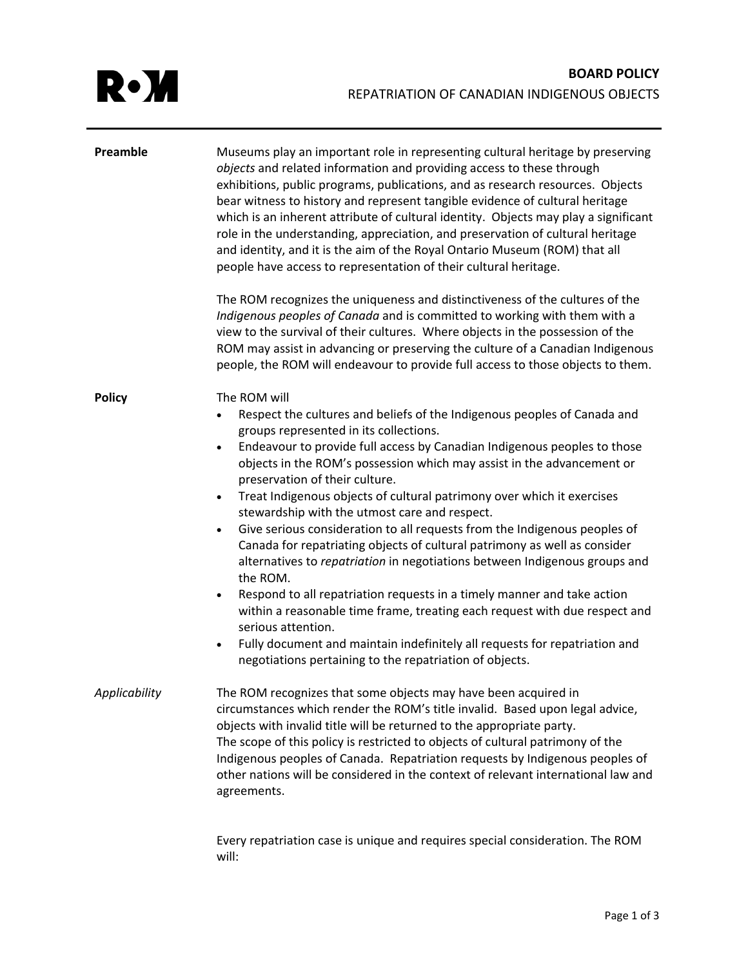| Preamble      | Museums play an important role in representing cultural heritage by preserving<br>objects and related information and providing access to these through<br>exhibitions, public programs, publications, and as research resources. Objects<br>bear witness to history and represent tangible evidence of cultural heritage<br>which is an inherent attribute of cultural identity. Objects may play a significant<br>role in the understanding, appreciation, and preservation of cultural heritage<br>and identity, and it is the aim of the Royal Ontario Museum (ROM) that all<br>people have access to representation of their cultural heritage.<br>The ROM recognizes the uniqueness and distinctiveness of the cultures of the<br>Indigenous peoples of Canada and is committed to working with them with a<br>view to the survival of their cultures. Where objects in the possession of the<br>ROM may assist in advancing or preserving the culture of a Canadian Indigenous<br>people, the ROM will endeavour to provide full access to those objects to them.                                        |
|---------------|-----------------------------------------------------------------------------------------------------------------------------------------------------------------------------------------------------------------------------------------------------------------------------------------------------------------------------------------------------------------------------------------------------------------------------------------------------------------------------------------------------------------------------------------------------------------------------------------------------------------------------------------------------------------------------------------------------------------------------------------------------------------------------------------------------------------------------------------------------------------------------------------------------------------------------------------------------------------------------------------------------------------------------------------------------------------------------------------------------------------|
| <b>Policy</b> | The ROM will<br>Respect the cultures and beliefs of the Indigenous peoples of Canada and<br>$\bullet$<br>groups represented in its collections.<br>Endeavour to provide full access by Canadian Indigenous peoples to those<br>$\bullet$<br>objects in the ROM's possession which may assist in the advancement or<br>preservation of their culture.<br>Treat Indigenous objects of cultural patrimony over which it exercises<br>$\bullet$<br>stewardship with the utmost care and respect.<br>Give serious consideration to all requests from the Indigenous peoples of<br>$\bullet$<br>Canada for repatriating objects of cultural patrimony as well as consider<br>alternatives to repatriation in negotiations between Indigenous groups and<br>the ROM.<br>Respond to all repatriation requests in a timely manner and take action<br>$\bullet$<br>within a reasonable time frame, treating each request with due respect and<br>serious attention.<br>Fully document and maintain indefinitely all requests for repatriation and<br>$\bullet$<br>negotiations pertaining to the repatriation of objects. |
| Applicability | The ROM recognizes that some objects may have been acquired in<br>circumstances which render the ROM's title invalid. Based upon legal advice,<br>objects with invalid title will be returned to the appropriate party.<br>The scope of this policy is restricted to objects of cultural patrimony of the<br>Indigenous peoples of Canada. Repatriation requests by Indigenous peoples of<br>other nations will be considered in the context of relevant international law and<br>agreements.                                                                                                                                                                                                                                                                                                                                                                                                                                                                                                                                                                                                                   |

Every repatriation case is unique and requires special consideration. The ROM will: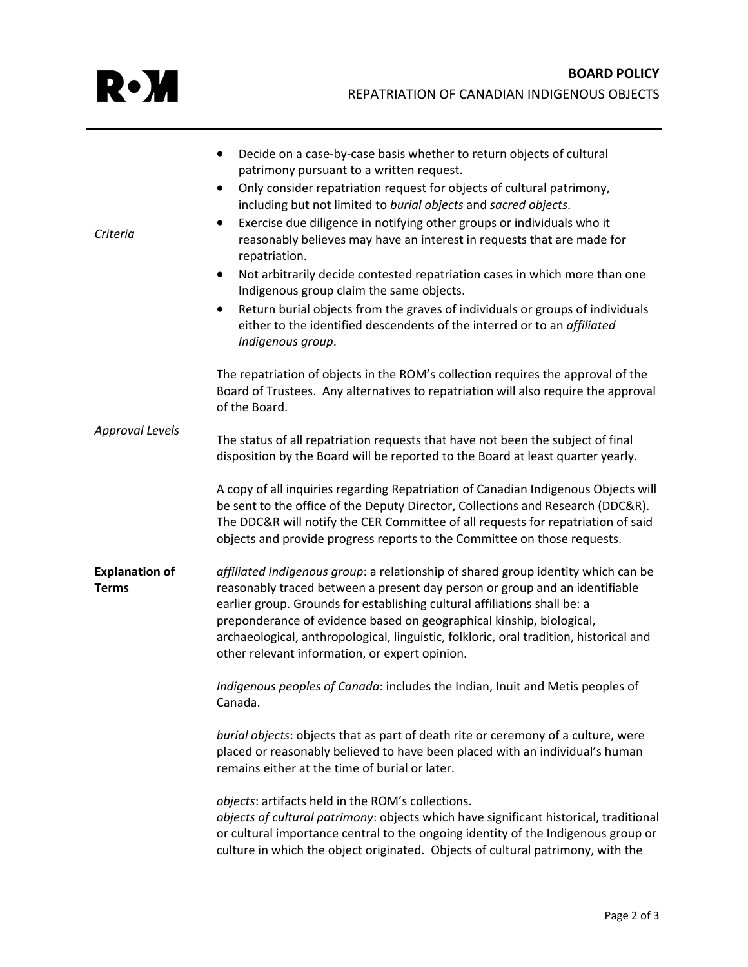| Criteria                              | Decide on a case-by-case basis whether to return objects of cultural<br>patrimony pursuant to a written request.<br>Only consider repatriation request for objects of cultural patrimony,<br>including but not limited to burial objects and sacred objects.<br>Exercise due diligence in notifying other groups or individuals who it<br>$\bullet$<br>reasonably believes may have an interest in requests that are made for<br>repatriation.<br>Not arbitrarily decide contested repatriation cases in which more than one<br>$\bullet$<br>Indigenous group claim the same objects.<br>Return burial objects from the graves of individuals or groups of individuals<br>either to the identified descendents of the interred or to an affiliated |
|---------------------------------------|----------------------------------------------------------------------------------------------------------------------------------------------------------------------------------------------------------------------------------------------------------------------------------------------------------------------------------------------------------------------------------------------------------------------------------------------------------------------------------------------------------------------------------------------------------------------------------------------------------------------------------------------------------------------------------------------------------------------------------------------------|
|                                       | Indigenous group.<br>The repatriation of objects in the ROM's collection requires the approval of the<br>Board of Trustees. Any alternatives to repatriation will also require the approval<br>of the Board.                                                                                                                                                                                                                                                                                                                                                                                                                                                                                                                                       |
| <b>Approval Levels</b>                | The status of all repatriation requests that have not been the subject of final<br>disposition by the Board will be reported to the Board at least quarter yearly.                                                                                                                                                                                                                                                                                                                                                                                                                                                                                                                                                                                 |
|                                       | A copy of all inquiries regarding Repatriation of Canadian Indigenous Objects will<br>be sent to the office of the Deputy Director, Collections and Research (DDC&R).<br>The DDC&R will notify the CER Committee of all requests for repatriation of said<br>objects and provide progress reports to the Committee on those requests.                                                                                                                                                                                                                                                                                                                                                                                                              |
| <b>Explanation of</b><br><b>Terms</b> | affiliated Indigenous group: a relationship of shared group identity which can be<br>reasonably traced between a present day person or group and an identifiable<br>earlier group. Grounds for establishing cultural affiliations shall be: a<br>preponderance of evidence based on geographical kinship, biological,<br>archaeological, anthropological, linguistic, folkloric, oral tradition, historical and<br>other relevant information, or expert opinion.                                                                                                                                                                                                                                                                                  |
|                                       | Indigenous peoples of Canada: includes the Indian, Inuit and Metis peoples of<br>Canada.                                                                                                                                                                                                                                                                                                                                                                                                                                                                                                                                                                                                                                                           |
|                                       | burial objects: objects that as part of death rite or ceremony of a culture, were<br>placed or reasonably believed to have been placed with an individual's human<br>remains either at the time of burial or later.                                                                                                                                                                                                                                                                                                                                                                                                                                                                                                                                |
|                                       | objects: artifacts held in the ROM's collections.<br>objects of cultural patrimony: objects which have significant historical, traditional<br>or cultural importance central to the ongoing identity of the Indigenous group or<br>culture in which the object originated. Objects of cultural patrimony, with the                                                                                                                                                                                                                                                                                                                                                                                                                                 |